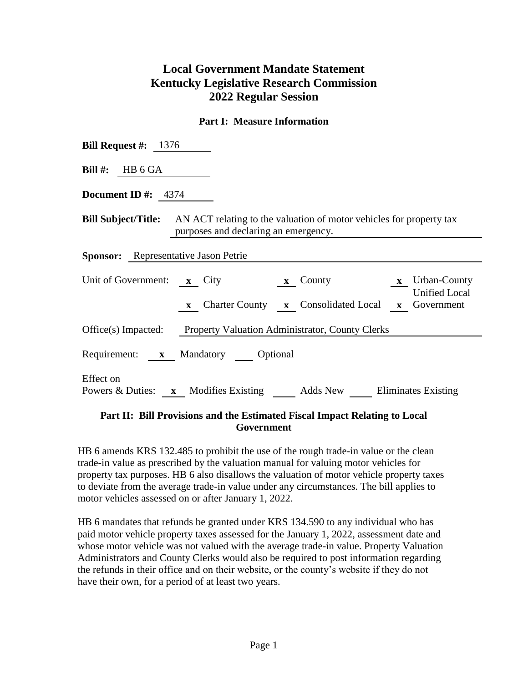## **Local Government Mandate Statement Kentucky Legislative Research Commission 2022 Regular Session**

## **Part I: Measure Information**

| <b>Bill Request #:</b> $1376$                                                                                                                                                        |
|--------------------------------------------------------------------------------------------------------------------------------------------------------------------------------------|
| <b>Bill #:</b> HB $6$ GA                                                                                                                                                             |
| <b>Document ID</b> #: $4374$                                                                                                                                                         |
| <b>Bill Subject/Title:</b> AN ACT relating to the valuation of motor vehicles for property tax<br>purposes and declaring an emergency.                                               |
| <b>Sponsor:</b> Representative Jason Petrie                                                                                                                                          |
| Unit of Government: <b>x</b> City<br>County <b>x</b> Urban-County<br>$\mathbf{x}$<br><b>Unified Local</b><br><b>x</b> Charter County <b>x</b> Consolidated Local <b>x</b> Government |
| Office(s) Impacted: Property Valuation Administrator, County Clerks                                                                                                                  |
| Requirement: x Mandatory Optional                                                                                                                                                    |
| Effect on<br>Powers & Duties: x Modifies Existing Adds New Eliminates Existing                                                                                                       |

## **Part II: Bill Provisions and the Estimated Fiscal Impact Relating to Local Government**

HB 6 amends KRS 132.485 to prohibit the use of the rough trade-in value or the clean trade-in value as prescribed by the valuation manual for valuing motor vehicles for property tax purposes. HB 6 also disallows the valuation of motor vehicle property taxes to deviate from the average trade-in value under any circumstances. The bill applies to motor vehicles assessed on or after January 1, 2022.

HB 6 mandates that refunds be granted under KRS 134.590 to any individual who has paid motor vehicle property taxes assessed for the January 1, 2022, assessment date and whose motor vehicle was not valued with the average trade-in value. Property Valuation Administrators and County Clerks would also be required to post information regarding the refunds in their office and on their website, or the county's website if they do not have their own, for a period of at least two years.